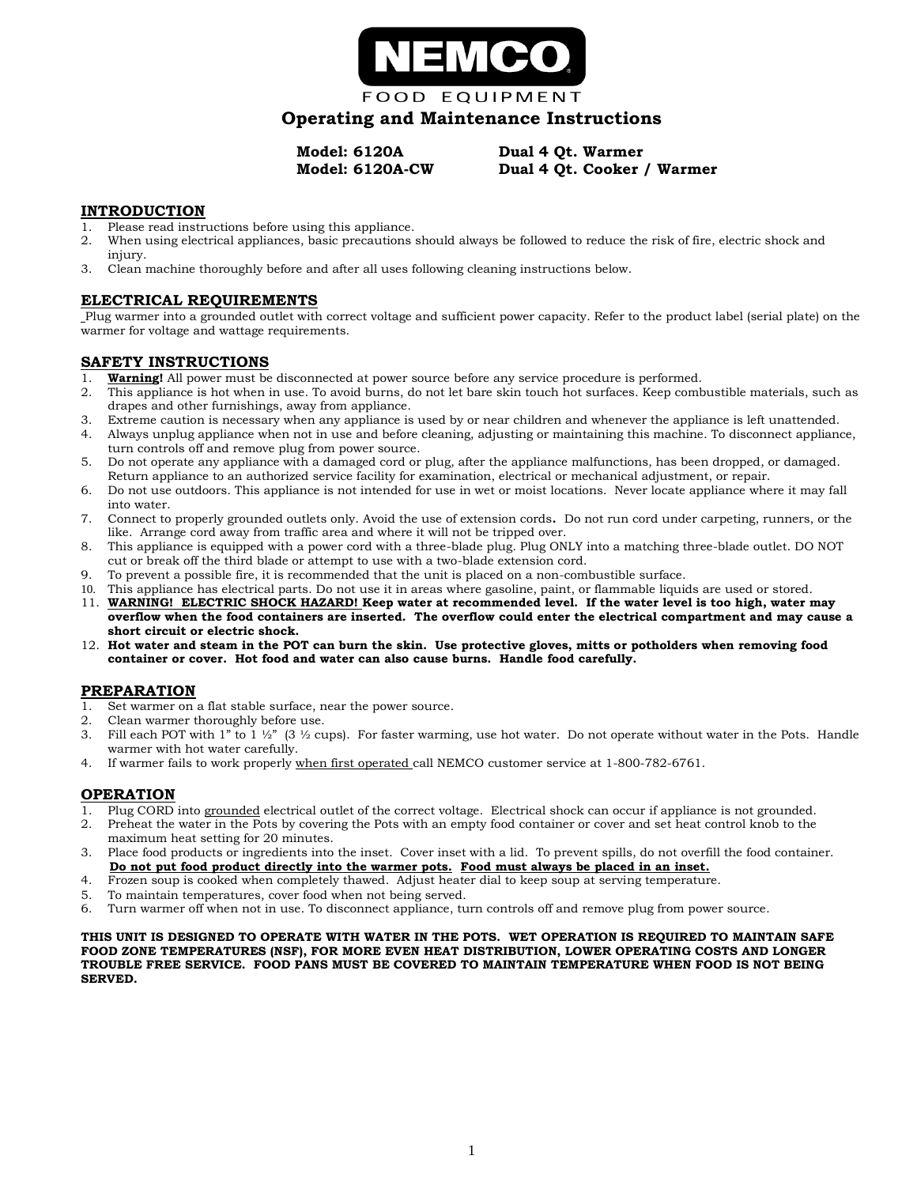

# **Operating and Maintenance Instructions**

**Model: 6120A Dual 4 Qt. Warmer Model: 6120A-CW Dual 4 Qt. Cooker / Warmer**

#### **INTRODUCTION**

- 1. Please read instructions before using this appliance.
- 2. When using electrical appliances, basic precautions should always be followed to reduce the risk of fire, electric shock and injury.
- 3. Clean machine thoroughly before and after all uses following cleaning instructions below.

#### **ELECTRICAL REQUIREMENTS**

Plug warmer into a grounded outlet with correct voltage and sufficient power capacity. Refer to the product label (serial plate) on the warmer for voltage and wattage requirements.

### **SAFETY INSTRUCTIONS**

- 1. **Warning!** All power must be disconnected at power source before any service procedure is performed.
- 2. This appliance is hot when in use. To avoid burns, do not let bare skin touch hot surfaces. Keep combustible materials, such as drapes and other furnishings, away from appliance.
- 3. Extreme caution is necessary when any appliance is used by or near children and whenever the appliance is left unattended.
- 4. Always unplug appliance when not in use and before cleaning, adjusting or maintaining this machine. To disconnect appliance, turn controls off and remove plug from power source.
- 5. Do not operate any appliance with a damaged cord or plug, after the appliance malfunctions, has been dropped, or damaged. Return appliance to an authorized service facility for examination, electrical or mechanical adjustment, or repair.
- 6. Do not use outdoors. This appliance is not intended for use in wet or moist locations. Never locate appliance where it may fall into water.
- 7. Connect to properly grounded outlets only. Avoid the use of extension cords**.** Do not run cord under carpeting, runners, or the like. Arrange cord away from traffic area and where it will not be tripped over.
- 8. This appliance is equipped with a power cord with a three-blade plug. Plug ONLY into a matching three-blade outlet. DO NOT cut or break off the third blade or attempt to use with a two-blade extension cord.
- 9. To prevent a possible fire, it is recommended that the unit is placed on a non-combustible surface.
- 10. This appliance has electrical parts. Do not use it in areas where gasoline, paint, or flammable liquids are used or stored.
- 11. **WARNING! ELECTRIC SHOCK HAZARD! Keep water at recommended level. If the water level is too high, water may overflow when the food containers are inserted. The overflow could enter the electrical compartment and may cause a short circuit or electric shock.**
- 12. **Hot water and steam in the POT can burn the skin. Use protective gloves, mitts or potholders when removing food container or cover. Hot food and water can also cause burns. Handle food carefully.**

#### **PREPARATION**

- 1. Set warmer on a flat stable surface, near the power source.
- 2. Clean warmer thoroughly before use.
- Fill each POT with 1" to 1  $\frac{1}{2}$ " (3  $\frac{1}{2}$  cups). For faster warming, use hot water. Do not operate without water in the Pots. Handle warmer with hot water carefully.
- 4. If warmer fails to work properly when first operated call NEMCO customer service at 1-800-782-6761.

#### **OPERATION**

- 1. Plug CORD into grounded electrical outlet of the correct voltage. Electrical shock can occur if appliance is not grounded.
- 2. Preheat the water in the Pots by covering the Pots with an empty food container or cover and set heat control knob to the maximum heat setting for 20 minutes.
- 3. Place food products or ingredients into the inset. Cover inset with a lid. To prevent spills, do not overfill the food container.  **Do not put food product directly into the warmer pots. Food must always be placed in an inset.**
- 4. Frozen soup is cooked when completely thawed. Adjust heater dial to keep soup at serving temperature.
- 5. To maintain temperatures, cover food when not being served.
- Turn warmer off when not in use. To disconnect appliance, turn controls off and remove plug from power source.

**THIS UNIT IS DESIGNED TO OPERATE WITH WATER IN THE POTS. WET OPERATION IS REQUIRED TO MAINTAIN SAFE FOOD ZONE TEMPERATURES (NSF), FOR MORE EVEN HEAT DISTRIBUTION, LOWER OPERATING COSTS AND LONGER TROUBLE FREE SERVICE. FOOD PANS MUST BE COVERED TO MAINTAIN TEMPERATURE WHEN FOOD IS NOT BEING SERVED.**